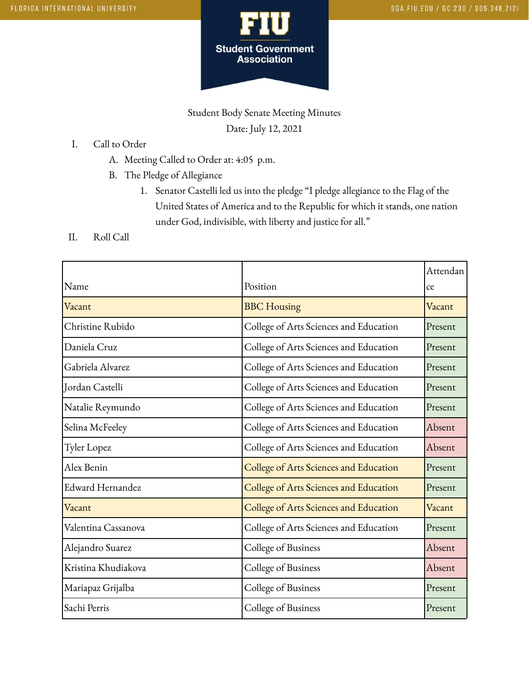

Student Body Senate Meeting Minutes Date: July 12, 2021

## I. Call to Order

- A. Meeting Called to Order at: 4:05 p.m.
- B. The Pledge of Allegiance
	- 1. Senator Castelli led us into the pledge "I pledge allegiance to the Flag of the United States of America and to the Republic for which it stands, one nation under God, indivisible, with liberty and justice for all."
- II. Roll Call

|                     |                                        | Attendan |
|---------------------|----------------------------------------|----------|
| Name                | Position                               | ce       |
| Vacant              | <b>BBC</b> Housing                     | Vacant   |
| Christine Rubido    | College of Arts Sciences and Education | Present  |
| Daniela Cruz        | College of Arts Sciences and Education | Present  |
| Gabriela Alvarez    | College of Arts Sciences and Education | Present  |
| Jordan Castelli     | College of Arts Sciences and Education | Present  |
| Natalie Reymundo    | College of Arts Sciences and Education | Present  |
| Selina McFeeley     | College of Arts Sciences and Education | Absent   |
| Tyler Lopez         | College of Arts Sciences and Education | Absent   |
| Alex Benin          | College of Arts Sciences and Education | Present  |
| Edward Hernandez    | College of Arts Sciences and Education | Present  |
| Vacant              | College of Arts Sciences and Education | Vacant   |
| Valentina Cassanova | College of Arts Sciences and Education | Present  |
| Alejandro Suarez    | College of Business                    | Absent   |
| Kristina Khudiakova | College of Business                    | Absent   |
| Mariapaz Grijalba   | College of Business                    | Present  |
| Sachi Perris        | College of Business                    | Present  |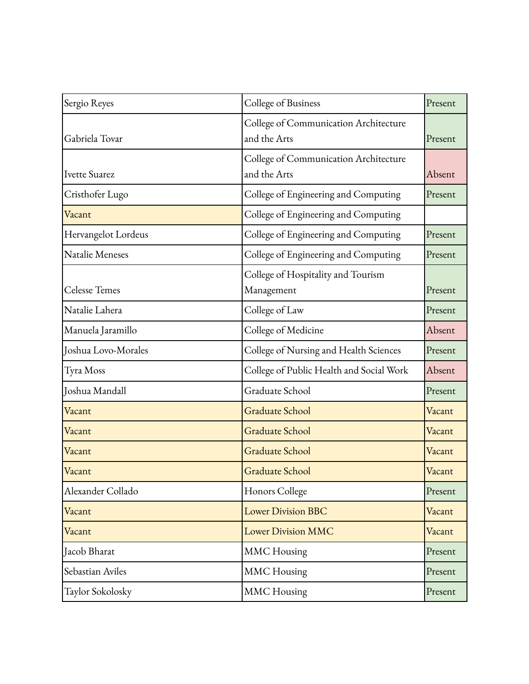| Sergio Reyes<br>College of Business |                                                       | Present |
|-------------------------------------|-------------------------------------------------------|---------|
| Gabriela Tovar                      | College of Communication Architecture<br>and the Arts | Present |
| Ivette Suarez                       | College of Communication Architecture<br>and the Arts | Absent  |
| Cristhofer Lugo                     | College of Engineering and Computing                  | Present |
| Vacant                              | College of Engineering and Computing                  |         |
| Hervangelot Lordeus                 | College of Engineering and Computing                  | Present |
| Natalie Meneses                     | College of Engineering and Computing                  | Present |
| <b>Celesse Temes</b>                | College of Hospitality and Tourism<br>Management      | Present |
| Natalie Lahera                      | College of Law                                        | Present |
| Manuela Jaramillo                   | College of Medicine                                   | Absent  |
| Joshua Lovo-Morales                 | College of Nursing and Health Sciences                | Present |
| Tyra Moss                           | College of Public Health and Social Work              | Absent  |
| Joshua Mandall                      | Graduate School                                       | Present |
| Vacant                              | Graduate School                                       | Vacant  |
| Vacant                              | Graduate School                                       | Vacant  |
| Vacant                              | <b>Graduate School</b>                                | Vacant  |
| Vacant                              | <b>Graduate School</b>                                | Vacant  |
| Alexander Collado                   | Honors College                                        | Present |
| Vacant                              | <b>Lower Division BBC</b>                             | Vacant  |
| Vacant                              | <b>Lower Division MMC</b>                             | Vacant  |
| Jacob Bharat                        | <b>MMC</b> Housing                                    | Present |
| Sebastian Aviles                    | <b>MMC</b> Housing                                    | Present |
| Taylor Sokolosky                    | <b>MMC</b> Housing                                    | Present |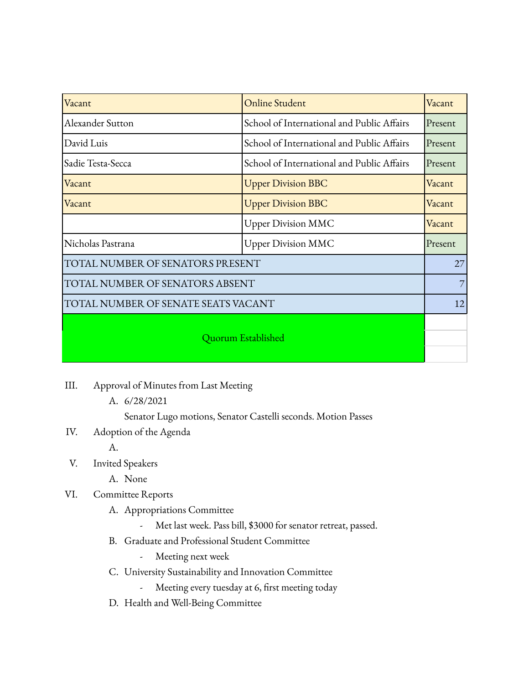| Vacant                              | <b>Online Student</b>                                 | Vacant  |
|-------------------------------------|-------------------------------------------------------|---------|
| Alexander Sutton                    | School of International and Public Affairs            | Present |
| David Luis                          | School of International and Public Affairs<br>Present |         |
| Sadie Testa-Secca                   | School of International and Public Affairs            | Present |
| Vacant                              | <b>Upper Division BBC</b>                             | Vacant  |
| Vacant                              | <b>Upper Division BBC</b>                             | Vacant  |
|                                     | <b>Upper Division MMC</b>                             | Vacant  |
| Nicholas Pastrana                   | <b>Upper Division MMC</b>                             | Present |
| TOTAL NUMBER OF SENATORS PRESENT    |                                                       |         |
| TOTAL NUMBER OF SENATORS ABSENT     |                                                       |         |
| TOTAL NUMBER OF SENATE SEATS VACANT |                                                       |         |
| Quorum Established                  |                                                       |         |

- III. Approval of Minutes from Last Meeting
	- A. 6/28/2021

Senator Lugo motions, Senator Castelli seconds. Motion Passes

IV. Adoption of the Agenda

A.

- V. Invited Speakers
	- A. None
- VI. Committee Reports
	- A. Appropriations Committee

Met last week. Pass bill, \$3000 for senator retreat, passed.

- B. Graduate and Professional Student Committee
	- Meeting next week
- C. University Sustainability and Innovation Committee
	- Meeting every tuesday at 6, first meeting today
- D. Health and Well-Being Committee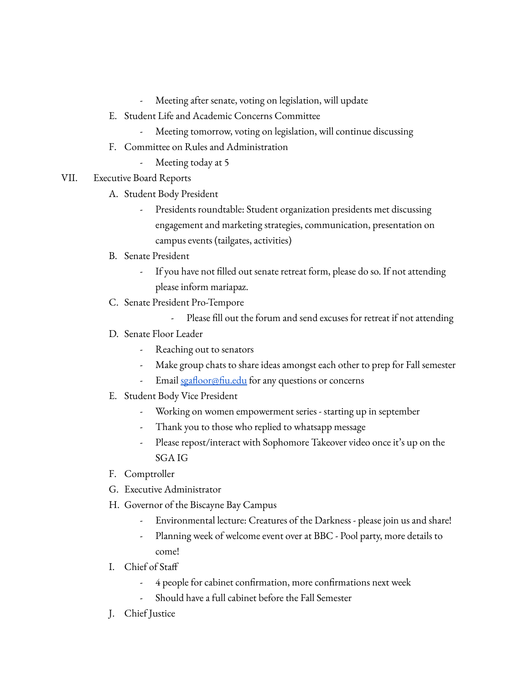- Meeting after senate, voting on legislation, will update
- E. Student Life and Academic Concerns Committee
	- Meeting tomorrow, voting on legislation, will continue discussing
- F. Committee on Rules and Administration
	- Meeting today at 5
- VII. Executive Board Reports
	- A. Student Body President
		- Presidents roundtable: Student organization presidents met discussing engagement and marketing strategies, communication, presentation on campus events (tailgates, activities)
	- B. Senate President
		- If you have not filled out senate retreat form, please do so. If not attending please inform mariapaz.
	- C. Senate President Pro-Tempore
		- Please fill out the forum and send excuses for retreat if not attending
	- D. Senate Floor Leader
		- Reaching out to senators
		- Make group chats to share ideas amongst each other to prep for Fall semester
		- Email [sgafloor@fiu.edu](mailto:sgafloor@fiu.edu) for any questions or concerns
	- E. Student Body Vice President
		- Working on women empowerment series starting up in september
		- Thank you to those who replied to whatsapp message
		- Please repost/interact with Sophomore Takeover video once it's up on the SGA IG
	- F. Comptroller
	- G. Executive Administrator
	- H. Governor of the Biscayne Bay Campus
		- Environmental lecture: Creatures of the Darkness please join us and share!
		- Planning week of welcome event over at BBC Pool party, more details to come!
	- I. Chief of Staff
		- 4 people for cabinet confirmation, more confirmations next week
		- Should have a full cabinet before the Fall Semester
	- J. Chief Justice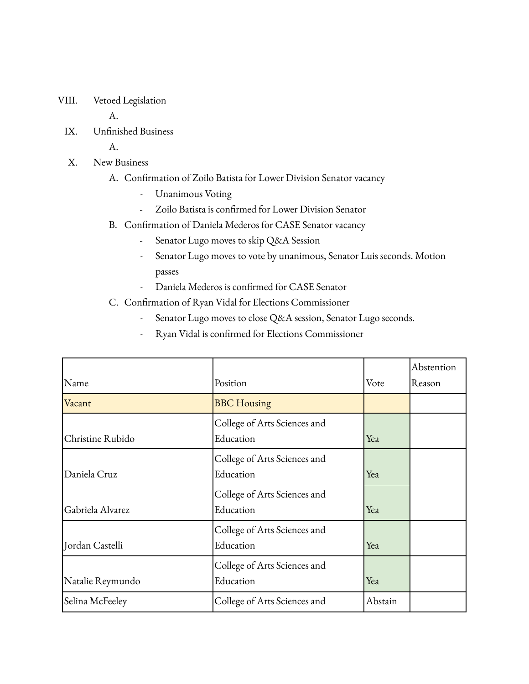VIII. Vetoed Legislation

A.

IX. Unfinished Business

A.

- X. New Business
	- A. Confirmation of Zoilo Batista for Lower Division Senator vacancy
		- Unanimous Voting
		- Zoilo Batista is confirmed for Lower Division Senator
	- B. Confirmation of Daniela Mederos for CASE Senator vacancy
		- Senator Lugo moves to skip Q&A Session
		- Senator Lugo moves to vote by unanimous, Senator Luis seconds. Motion passes
		- Daniela Mederos is confirmed for CASE Senator

## C. Confirmation of Ryan Vidal for Elections Commissioner

- Senator Lugo moves to close Q&A session, Senator Lugo seconds.
- Ryan Vidal is confirmed for Elections Commissioner

| Name             | Position                                  | Vote    | Abstention<br>Reason |
|------------------|-------------------------------------------|---------|----------------------|
| Vacant           | <b>BBC</b> Housing                        |         |                      |
| Christine Rubido | College of Arts Sciences and<br>Education | Yea     |                      |
| Daniela Cruz     | College of Arts Sciences and<br>Education | Yea     |                      |
| Gabriela Alvarez | College of Arts Sciences and<br>Education | Yea     |                      |
| Jordan Castelli  | College of Arts Sciences and<br>Education | Yea     |                      |
| Natalie Reymundo | College of Arts Sciences and<br>Education | Yea     |                      |
| Selina McFeeley  | College of Arts Sciences and              | Abstain |                      |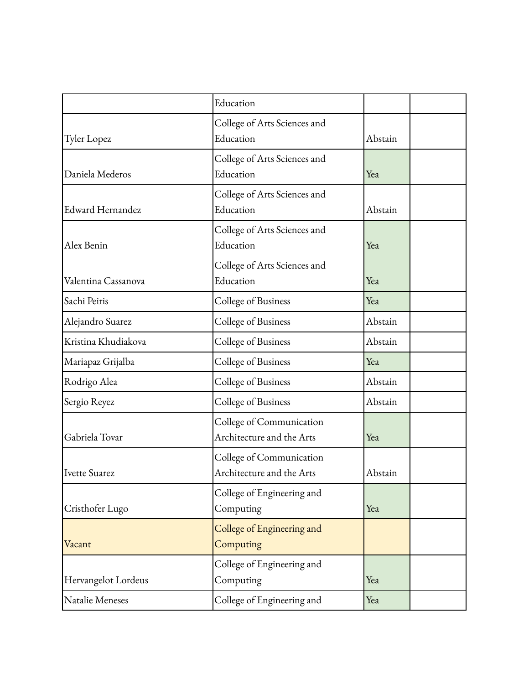|                     | Education                                             |         |  |
|---------------------|-------------------------------------------------------|---------|--|
| <b>Tyler Lopez</b>  | College of Arts Sciences and<br>Education             | Abstain |  |
| Daniela Mederos     | College of Arts Sciences and<br>Education             | Yea     |  |
| Edward Hernandez    | College of Arts Sciences and<br>Education             | Abstain |  |
| Alex Benin          | College of Arts Sciences and<br>Education             | Yea     |  |
| Valentina Cassanova | College of Arts Sciences and<br>Education             | Yea     |  |
| Sachi Peiris        | College of Business                                   | Yea     |  |
| Alejandro Suarez    | College of Business                                   | Abstain |  |
| Kristina Khudiakova | College of Business                                   | Abstain |  |
| Mariapaz Grijalba   | College of Business                                   | Yea     |  |
| Rodrigo Alea        | College of Business                                   | Abstain |  |
| Sergio Reyez        | College of Business                                   | Abstain |  |
| Gabriela Tovar      | College of Communication<br>Architecture and the Arts | Yea     |  |
| Ivette Suarez       | College of Communication<br>Architecture and the Arts | Abstain |  |
| Cristhofer Lugo     | College of Engineering and<br>Computing               | Yea     |  |
| Vacant              | College of Engineering and<br>Computing               |         |  |
| Hervangelot Lordeus | College of Engineering and<br>Computing               | Yea     |  |
| Natalie Meneses     | College of Engineering and                            | Yea     |  |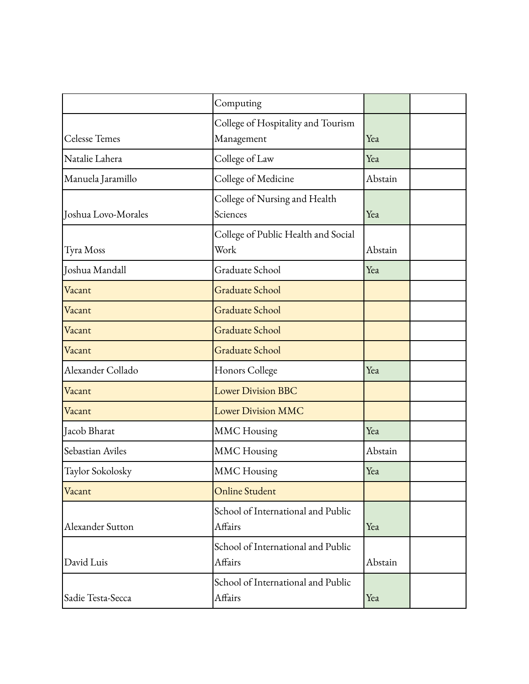|                      | Computing                                        |         |  |
|----------------------|--------------------------------------------------|---------|--|
| <b>Celesse Temes</b> | College of Hospitality and Tourism<br>Management | Yea     |  |
| Natalie Lahera       | College of Law                                   | Yea     |  |
| Manuela Jaramillo    | College of Medicine                              | Abstain |  |
| Joshua Lovo-Morales  | College of Nursing and Health<br>Sciences        | Yea     |  |
| Tyra Moss            | College of Public Health and Social<br>Work      | Abstain |  |
| Joshua Mandall       | Graduate School                                  | Yea     |  |
| Vacant               | Graduate School                                  |         |  |
| Vacant               | Graduate School                                  |         |  |
| Vacant               | <b>Graduate School</b>                           |         |  |
| Vacant               | <b>Graduate School</b>                           |         |  |
| Alexander Collado    | Honors College                                   | Yea     |  |
| Vacant               | <b>Lower Division BBC</b>                        |         |  |
| Vacant               | <b>Lower Division MMC</b>                        |         |  |
| Jacob Bharat         | <b>MMC</b> Housing                               | Yea     |  |
| Sebastian Aviles     | <b>MMC</b> Housing                               | Abstain |  |
| Taylor Sokolosky     | <b>MMC</b> Housing                               | Yea     |  |
| Vacant               | <b>Online Student</b>                            |         |  |
| Alexander Sutton     | School of International and Public<br>Affairs    | Yea     |  |
| David Luis           | School of International and Public<br>Affairs    | Abstain |  |
| Sadie Testa-Secca    | School of International and Public<br>Affairs    | Yea     |  |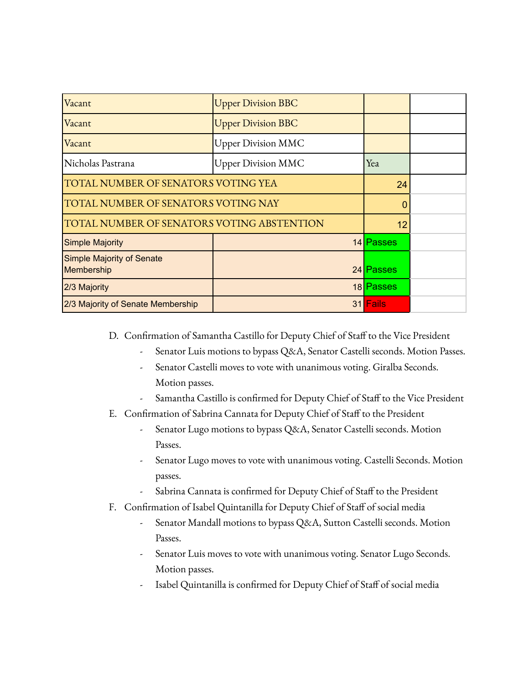| Vacant                                         | <b>Upper Division BBC</b> |           |  |
|------------------------------------------------|---------------------------|-----------|--|
| Vacant                                         | <b>Upper Division BBC</b> |           |  |
| Vacant                                         | <b>Upper Division MMC</b> |           |  |
| Nicholas Pastrana                              | <b>Upper Division MMC</b> | Yea       |  |
| TOTAL NUMBER OF SENATORS VOTING YEA            |                           | 24        |  |
| TOTAL NUMBER OF SENATORS VOTING NAY            |                           | 0         |  |
| TOTAL NUMBER OF SENATORS VOTING ABSTENTION     |                           | 12        |  |
| <b>Simple Majority</b>                         |                           | 14 Passes |  |
| <b>Simple Majority of Senate</b><br>Membership |                           | 24 Passes |  |
| 2/3 Majority                                   |                           | 18 Passes |  |
| 2/3 Majority of Senate Membership              |                           | 31 Fails  |  |

D. Confirmation of Samantha Castillo for Deputy Chief of Staff to the Vice President

- Senator Luis motions to bypass Q&A, Senator Castelli seconds. Motion Passes.
- Senator Castelli moves to vote with unanimous voting. Giralba Seconds. Motion passes.
- Samantha Castillo is confirmed for Deputy Chief of Staff to the Vice President
- E. Confirmation of Sabrina Cannata for Deputy Chief of Staff to the President
	- Senator Lugo motions to bypass Q&A, Senator Castelli seconds. Motion Passes.
	- Senator Lugo moves to vote with unanimous voting. Castelli Seconds. Motion passes.
	- Sabrina Cannata is confirmed for Deputy Chief of Staff to the President
- F. Confirmation of Isabel Quintanilla for Deputy Chief of Staff of social media
	- Senator Mandall motions to bypass Q&A, Sutton Castelli seconds. Motion Passes.
	- Senator Luis moves to vote with unanimous voting. Senator Lugo Seconds. Motion passes.
	- Isabel Quintanilla is confirmed for Deputy Chief of Staff of social media